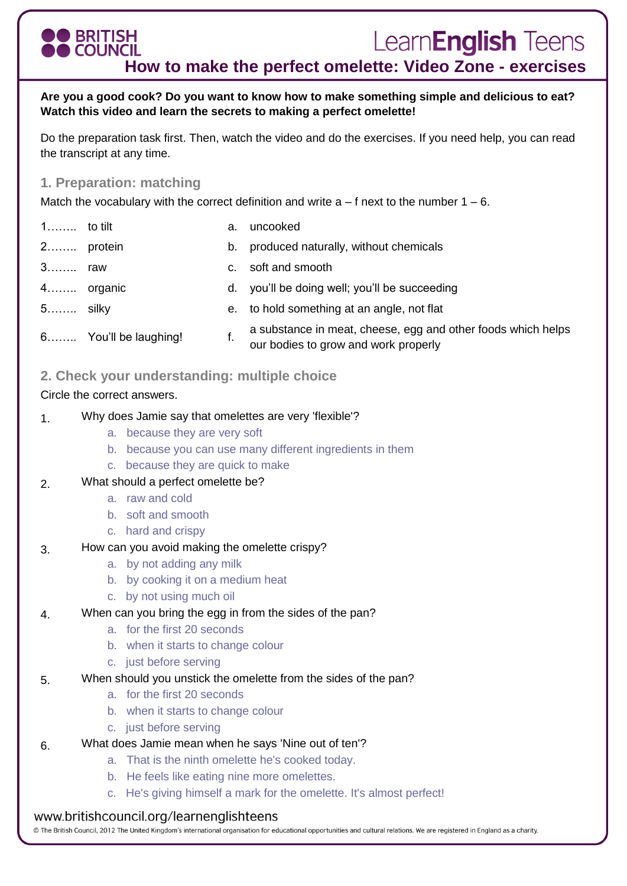Learn**English** Teens

**How to make the perfect omelette: Video Zone - exercises**

## **Are you a good cook? Do you want to know how to make something simple and delicious to eat? Watch this video and learn the secrets to making a perfect omelette!**

Do the preparation task first. Then, watch the video and do the exercises. If you need help, you can read the transcript at any time.

## **1. Preparation: matching**

**BRITISH** 

**COUNCIL** 

Match the vocabulary with the correct definition and write  $a - f$  next to the number  $1 - 6$ .

| $1$ to tilt |                       | a. | uncooked                                                                                             |
|-------------|-----------------------|----|------------------------------------------------------------------------------------------------------|
| 2 protein   |                       |    | b. produced naturally, without chemicals                                                             |
| 3 raw       |                       |    | c. soft and smooth                                                                                   |
| 4 organic   |                       |    | d. you'll be doing well; you'll be succeeding                                                        |
| 5 silky     |                       |    | e. to hold something at an angle, not flat                                                           |
|             | 6 You'll be laughing! |    | a substance in meat, cheese, egg and other foods which helps<br>our bodies to grow and work properly |

**2. Check your understanding: multiple choice** 

### Circle the correct answers.

#### 1. Why does Jamie say that omelettes are very 'flexible'?

- a. because they are very soft
- b. because you can use many different ingredients in them
- c. because they are quick to make

#### 2. What should a perfect omelette be?

- a. raw and cold
- b. soft and smooth
- c. hard and crispy

#### 3. How can you avoid making the omelette crispy?

- a. by not adding any milk
- b. by cooking it on a medium heat
- c. by not using much oil
- 4. When can you bring the egg in from the sides of the pan?
	- a. for the first 20 seconds
	- b. when it starts to change colour
	- c. just before serving
- 5. When should you unstick the omelette from the sides of the pan?
	- a. for the first 20 seconds
	- b. when it starts to change colour
	- c. just before serving

#### 6. What does Jamie mean when he says 'Nine out of ten'?

- a. That is the ninth omelette he's cooked today.
- b. He feels like eating nine more omelettes.
- c. He's giving himself a mark for the omelette. It's almost perfect!

#### www.britishcouncil.org/learnenglishteens

© The British Council, 2012 The United Kingdom's international organisation for educational opportunities and cultural relations. We are registered in England as a charity.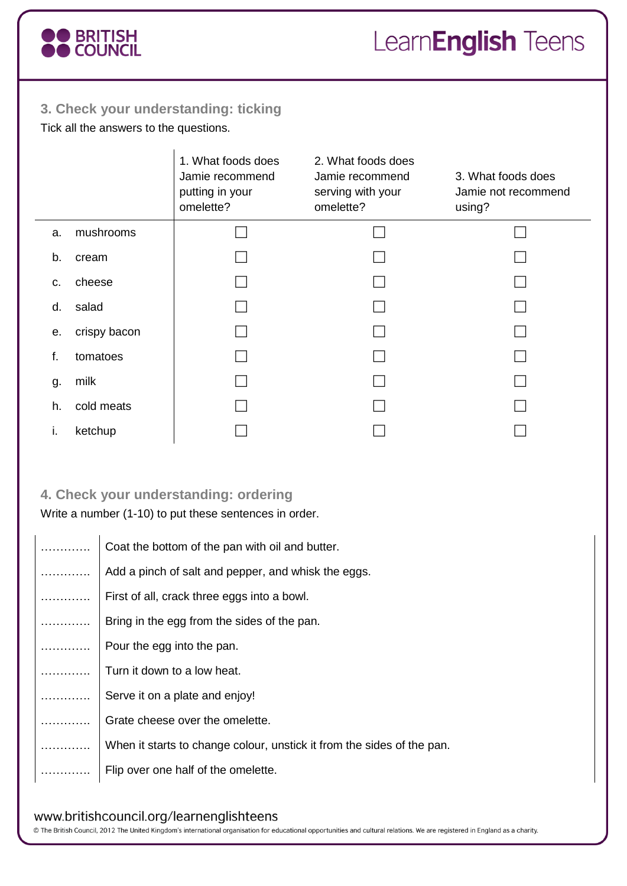

# **3. Check your understanding: ticking**

Tick all the answers to the questions.

|    |              | 1. What foods does<br>Jamie recommend<br>putting in your<br>omelette? | 2. What foods does<br>Jamie recommend<br>serving with your<br>omelette? | 3. What foods does<br>Jamie not recommend<br>using? |
|----|--------------|-----------------------------------------------------------------------|-------------------------------------------------------------------------|-----------------------------------------------------|
| a. | mushrooms    |                                                                       |                                                                         |                                                     |
| b. | cream        |                                                                       |                                                                         |                                                     |
| c. | cheese       |                                                                       |                                                                         |                                                     |
| d. | salad        |                                                                       |                                                                         |                                                     |
| е. | crispy bacon |                                                                       |                                                                         |                                                     |
| f. | tomatoes     |                                                                       |                                                                         |                                                     |
| g. | milk         |                                                                       |                                                                         |                                                     |
| h. | cold meats   |                                                                       |                                                                         |                                                     |
| i. | ketchup      |                                                                       |                                                                         |                                                     |

## **4. Check your understanding: ordering**

#### Write a number (1-10) to put these sentences in order.

|   | Coat the bottom of the pan with oil and butter.                        |
|---|------------------------------------------------------------------------|
| . | Add a pinch of salt and pepper, and whisk the eggs.                    |
| . | First of all, crack three eggs into a bowl.                            |
|   | Bring in the egg from the sides of the pan.                            |
|   | Pour the egg into the pan.                                             |
|   | Turn it down to a low heat.                                            |
|   | Serve it on a plate and enjoy!                                         |
|   | Grate cheese over the omelette.                                        |
|   | When it starts to change colour, unstick it from the sides of the pan. |
|   | Flip over one half of the omelette.                                    |

## www.britishcouncil.org/learnenglishteens

© The British Council, 2012 The United Kingdom's international organisation for educational opportunities and cultural relations. We are registered in England as a charity.